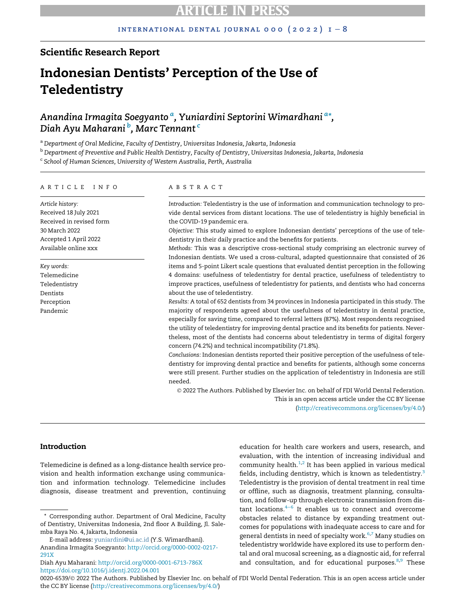# Scientific Research Report

# Indonesian Dentists' Perception of the Use of **Teledentistry**

An[a](#page-0-0)ndina Irmagita Soegyanto <sup>a</sup>, Yuniardini Septorini Wimardhani <sup>a</sup>[\\*](#page-0-1), Diah Ayu Maharani <sup>[b](#page-0-2)</sup>, Mar[c](#page-0-3) Tennant <sup>c</sup>

<span id="page-0-0"></span>a Department of Oral Medicine, Faculty of Dentistry, Universitas Indonesia, Jakarta, Indonesia

<span id="page-0-2"></span> $^{\rm b}$  Department of Preventive and Public Health Dentistry, Faculty of Dentistry, Universitas Indonesia, Jakarta, Indonesia

<span id="page-0-3"></span>c School of Human Sciences, University of Western Australia, Perth, Australia

### ARTICLE INFO

Article history: Received 18 July 2021 Received in revised form 30 March 2022 Accepted 1 April 2022 Available online xxx

Key words: Telemedicine Teledentistry Dentists Perception Pandemic

### ABSTRACT

Introduction: Teledentistry is the use of information and communication technology to provide dental services from distant locations. The use of teledentistry is highly beneficial in the COVID-19 pandemic era.

Objective: This study aimed to explore Indonesian dentists' perceptions of the use of teledentistry in their daily practice and the benefits for patients.

Methods: This was a descriptive cross-sectional study comprising an electronic survey of Indonesian dentists. We used a cross-cultural, adapted questionnaire that consisted of 26 items and 5-point Likert scale questions that evaluated dentist perception in the following 4 domains: usefulness of teledentistry for dental practice, usefulness of teledentistry to improve practices, usefulness of teledentistry for patients, and dentists who had concerns about the use of teledentistry.

Results: A total of 652 dentists from 34 provinces in Indonesia participated in this study. The majority of respondents agreed about the usefulness of teledentistry in dental practice, especially for saving time, compared to referral letters (87%). Most respondents recognised the utility of teledentistry for improving dental practice and its benefits for patients. Nevertheless, most of the dentists had concerns about teledentistry in terms of digital forgery concern (74.2%) and technical incompatibility (71.8%).

Conclusions: Indonesian dentists reported their positive perception of the usefulness of teledentistry for improving dental practice and benefits for patients, although some concerns were still present. Further studies on the application of teledentistry in Indonesia are still needed.

 2022 The Authors. Published by Elsevier Inc. on behalf of FDI World Dental Federation. This is an open access article under the CC BY license

([http://creativecommons.org/licenses/by/4.0/\)](http://creativecommons.org/licenses/by/4.0/)

## Introduction

Telemedicine is defined as a long-distance health service provision and health information exchange using communication and information technology. Telemedicine includes diagnosis, disease treatment and prevention, continuing

E-mail address: [yuniardini@ui.ac.id](mailto:yuniardini@ui.ac.id) (Y.S. Wimardhani). Anandina Irmagita Soegyanto: [http://orcid.org/0000-0002-0217-](http://orcid.org/0000-0002-0217-291X) [291X](http://orcid.org/0000-0002-0217-291X)

Diah Ayu Maharani: <http://orcid.org/0000-0001-6713-786X> <https://doi.org/10.1016/j.identj.2022.04.001>

education for health care workers and users, research, and evaluation, with the intention of increasing individual and community health. $1,2$  $1,2$  It has been applied in various medical fields, including dentistry, which is known as teledentistry.<sup>[3](#page-6-0)</sup> Teledentistry is the provision of dental treatment in real time or offline, such as diagnosis, treatment planning, consultation, and follow-up through electronic transmission from distant locations.4[−](#page-6-1)<sup>6</sup> It enables us to connect and overcome obstacles related to distance by expanding treatment outcomes for populations with inadequate access to care and for general dentists in need of specialty work.<sup>[6](#page-6-2)[,7](#page-6-3)</sup> Many studies on teledentistry worldwide have explored its use to perform dental and oral mucosal screening, as a diagnostic aid, for referral and consultation, and for educational purposes. $8,9$  $8,9$  These

0020-6539/© 2022 The Authors. Published by Elsevier Inc. on behalf of FDI World Dental Federation. This is an open access article under the CC BY license [\(http://creativecommons.org/licenses/by/4.0/](http://creativecommons.org/licenses/by/4.0/))

<span id="page-0-1"></span><sup>\*</sup> Corresponding author. Department of Oral Medicine, Faculty of Dentistry, Universitas Indonesia, 2nd floor A Building, Jl. Salemba Raya No. 4, Jakarta, Indonesia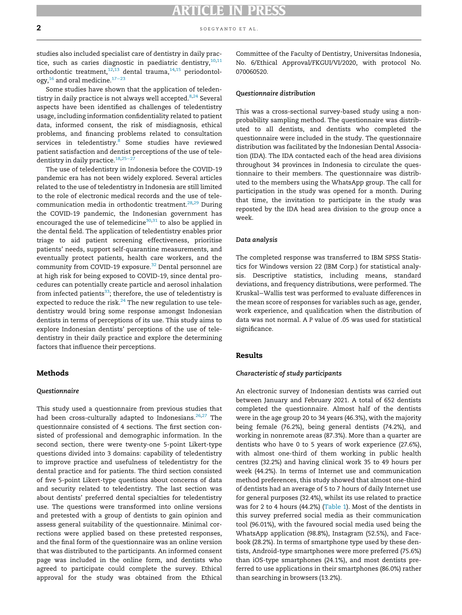studies also included specialist care of dentistry in daily practice, such as caries diagnostic in paediatric dentistry, $10,11$  $10,11$  $10,11$ orthodontic treatment,<sup>[12](#page-6-8)[,13](#page-6-9)</sup> dental trauma,<sup>[14](#page-6-10),[15](#page-6-11)</sup> periodontology,[16](#page-6-12) and oral medicine.[17](#page-6-13)−<sup>23</sup>

Some studies have shown that the application of teledentistry in daily practice is not always well accepted. $8,24$  $8,24$  $8,24$  Several aspects have been identified as challenges of teledentistry usage, including information confidentiality related to patient data, informed consent, the risk of misdiagnosis, ethical problems, and financing problems related to consultation services in teledentistry.<sup>[8](#page-6-4)</sup> Some studies have reviewed patient satisfaction and dentist perceptions of the use of tele-dentistry in daily practice.<sup>[18](#page-6-15),25−[27](#page-6-16)</sup>

The use of teledentistry in Indonesia before the COVID-19 pandemic era has not been widely explored. Several articles related to the use of teledentistry in Indonesia are still limited to the role of electronic medical records and the use of tele-communication media in orthodontic treatment.<sup>[28](#page-6-17),[29](#page-6-18)</sup> During the COVID-19 pandemic, the Indonesian government has encouraged the use of telemedicine $30,31$  $30,31$  to also be applied in the dental field. The application of teledentistry enables prior triage to aid patient screening effectiveness, prioritise patients' needs, support self-quarantine measurements, and eventually protect patients, health care workers, and the community from COVID-19 exposure.<sup>[32](#page-6-21)</sup> Dental personnel are at high risk for being exposed to COVID-19, since dental procedures can potentially create particle and aerosol inhalation from infected patients<sup>[33](#page-6-22)</sup>; therefore, the use of teledentistry is expected to reduce the risk. $^{24}$  $^{24}$  $^{24}$  The new regulation to use teledentistry would bring some response amongst Indonesian dentists in terms of perceptions of its use. This study aims to explore Indonesian dentists' perceptions of the use of teledentistry in their daily practice and explore the determining factors that influence their perceptions.

### Methods

### Questionnaire

This study used a questionnaire from previous studies that had been cross-culturally adapted to Indonesians.<sup>[26,](#page-6-23)[27](#page-6-24)</sup> The questionnaire consisted of 4 sections. The first section consisted of professional and demographic information. In the second section, there were twenty-one 5-point Likert-type questions divided into 3 domains: capability of teledentistry to improve practice and usefulness of teledentistry for the dental practice and for patients. The third section consisted of five 5-point Likert-type questions about concerns of data and security related to teledentistry. The last section was about dentists' preferred dental specialties for teledentistry use. The questions were transformed into online versions and pretested with a group of dentists to gain opinion and assess general suitability of the questionnaire. Minimal corrections were applied based on these pretested responses, and the final form of the questionnaire was an online version that was distributed to the participants. An informed consent page was included in the online form, and dentists who agreed to participate could complete the survey. Ethical approval for the study was obtained from the Ethical Committee of the Faculty of Dentistry, Universitas Indonesia, No. 6/Ethical Approval/FKGUI/VI/2020, with protocol No. 070060520.

### Questionnaire distribution

This was a cross-sectional survey-based study using a nonprobability sampling method. The questionnaire was distributed to all dentists, and dentists who completed the questionnaire were included in the study. The questionnaire distribution was facilitated by the Indonesian Dental Association (IDA). The IDA contacted each of the head area divisions throughout 34 provinces in Indonesia to circulate the questionnaire to their members. The questionnaire was distributed to the members using the WhatsApp group. The call for participation in the study was opened for a month. During that time, the invitation to participate in the study was reposted by the IDA head area division to the group once a week.

### Data analysis

The completed response was transferred to IBM SPSS Statistics for Windows version 22 (IBM Corp.) for statistical analysis. Descriptive statistics, including means, standard deviations, and frequency distributions, were performed. The Kruskal−Wallis test was performed to evaluate differences in the mean score of responses for variables such as age, gender, work experience, and qualification when the distribution of data was not normal. A P value of .05 was used for statistical significance.

## Results

### Characteristic of study participants

An electronic survey of Indonesian dentists was carried out between January and February 2021. A total of 652 dentists completed the questionnaire. Almost half of the dentists were in the age group 20 to 34 years (46.3%), with the majority being female (76.2%), being general dentists (74.2%), and working in nonremote areas (87.3%). More than a quarter are dentists who have 0 to 5 years of work experience (27.6%), with almost one-third of them working in public health centres (32.2%) and having clinical work 35 to 49 hours per week (44.2%). In terms of Internet use and communication method preferences, this study showed that almost one-third of dentists had an average of 5 to 7 hours of daily Internet use for general purposes (32.4%), whilst its use related to practice was for 2 to 4 hours (44.2%) [\(Table 1\)](#page-2-0). Most of the dentists in this survey preferred social media as their communication tool (96.01%), with the favoured social media used being the WhatsApp application (98.8%), Instagram (52.5%), and Facebook (28.2%). In terms of smartphone type used by these dentists, Android-type smartphones were more preferred (75.6%) than iOS-type smartphones (24.1%), and most dentists preferred to use applications in their smartphones (86.0%) rather than searching in browsers (13.2%).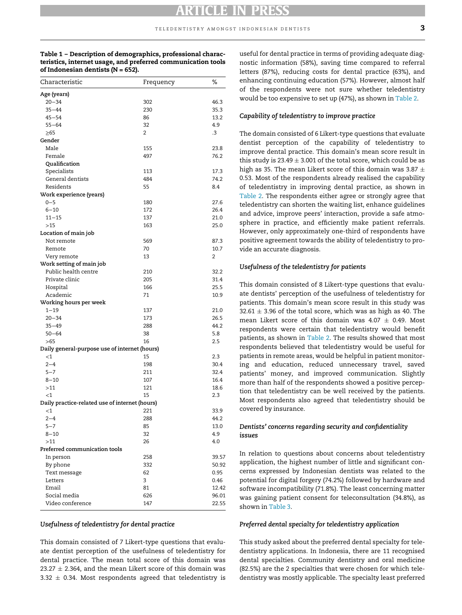<span id="page-2-0"></span>Table 1 – Description of demographics, professional characteristics, internet usage, and preferred communication tools of Indonesian dentists ( $N = 652$ ).

| Characteristic                                 | Frequency      | ℅     |
|------------------------------------------------|----------------|-------|
| Age (years)                                    |                |       |
| $20 - 34$                                      | 302            | 46.3  |
| $35 - 44$                                      | 230            | 35.3  |
| $45 - 54$                                      | 86             | 13.2  |
| $55 - 64$                                      | 32             | 4.9   |
| ≥65                                            | $\overline{2}$ | .3    |
| Gender                                         |                |       |
| Male                                           | 155            | 23.8  |
| Female                                         | 497            | 76.2  |
| Qualification                                  |                |       |
| Specialists                                    | 113            | 17.3  |
| General dentists                               | 484            | 74.2  |
| Residents                                      | 55             | 8.4   |
| Work experience (years)                        |                |       |
| $0 - 5$                                        | 180            | 27.6  |
| $6 - 10$                                       | 172            | 26.4  |
| $11 - 15$                                      | 137            | 21.0  |
| >15                                            | 163            | 25.0  |
| Location of main job                           |                |       |
| Not remote                                     | 569            | 87.3  |
| Remote                                         | 70             | 10.7  |
| Very remote                                    | 13             | 2     |
| Work setting of main job                       |                |       |
| Public health centre                           | 210            | 32.2  |
| Private clinic                                 | 205            | 31.4  |
| Hospital                                       | 166            | 25.5  |
| Academic                                       | 71             | 10.9  |
| Working hours per week                         |                |       |
| $1 - 19$                                       | 137            | 21.0  |
| $20 - 34$                                      | 173            | 26.5  |
| $35 - 49$                                      | 288            | 44.2  |
| $50 - 64$                                      | 38             | 5.8   |
| >65                                            | 16             | 2.5   |
| Daily general-purpose use of internet (hours)  |                |       |
| $<$ 1                                          | 15             | 2.3   |
| $2 - 4$                                        | 198            | 30.4  |
| $5 - 7$                                        | 211            | 32.4  |
| $8 - 10$                                       | 107            | 16.4  |
| >11                                            | 121            | 18.6  |
| $<$ 1                                          | 15             | 2.3   |
| Daily practice-related use of internet (hours) |                |       |
| $<$ 1                                          | 221            | 33.9  |
| $2 - 4$                                        | 288            | 44.2  |
| $5 - 7$                                        | 85             | 13.0  |
| $8 - 10$                                       | 32             | 4.9   |
| >11                                            | 26             | 4.0   |
| Preferred communication tools                  |                |       |
| In person                                      | 258            | 39.57 |
| By phone                                       | 332            | 50.92 |
| Text message                                   | 62             | 0.95  |
| Letters                                        | 3              | 0.46  |
| Email                                          | 81             | 12.42 |
| Social media                                   | 626            | 96.01 |
| Video conference                               | 147            | 22.55 |
|                                                |                |       |

### Usefulness of teledentistry for dental practice

This domain consisted of 7 Likert-type questions that evaluate dentist perception of the usefulness of teledentistry for dental practice. The mean total score of this domain was  $23.27 \pm 2.364$ , and the mean Likert score of this domain was  $3.32 \pm 0.34$ . Most respondents agreed that teledentistry is

useful for dental practice in terms of providing adequate diagnostic information (58%), saving time compared to referral letters (87%), reducing costs for dental practice (63%), and enhancing continuing education (57%). However, almost half of the respondents were not sure whether teledentistry would be too expensive to set up (47%), as shown in [Table 2.](#page-3-0)

### Capability of teledentistry to improve practice

The domain consisted of 6 Likert-type questions that evaluate dentist perception of the capability of teledentistry to improve dental practice. This domain's mean score result in this study is  $23.49 \pm 3.001$  of the total score, which could be as high as 35. The mean Likert score of this domain was 3.87  $\pm$ 0.53. Most of the respondents already realised the capability of teledentistry in improving dental practice, as shown in [Table 2.](#page-3-0) The respondents either agree or strongly agree that teledentistry can shorten the waiting list, enhance guidelines and advice, improve peers' interaction, provide a safe atmosphere in practice, and efficiently make patient referrals. However, only approximately one-third of respondents have positive agreement towards the ability of teledentistry to provide an accurate diagnosis.

## Usefulness of the teledentistry for patients

This domain consisted of 8 Likert-type questions that evaluate dentists' perception of the usefulness of teledentistry for patients. This domain's mean score result in this study was  $32.61 \pm 3.96$  of the total score, which was as high as 40. The mean Likert score of this domain was  $4.07 \pm 0.49$ . Most respondents were certain that teledentistry would benefit patients, as shown in [Table 2.](#page-3-0) The results showed that most respondents believed that teledentistry would be useful for patients in remote areas, would be helpful in patient monitoring and education, reduced unnecessary travel, saved patients' money, and improved communication. Slightly more than half of the respondents showed a positive perception that teledentistry can be well received by the patients. Most respondents also agreed that teledentistry should be covered by insurance.

## Dentists' concerns regarding security and confidentiality issues

In relation to questions about concerns about teledentistry application, the highest number of little and significant concerns expressed by Indonesian dentists was related to the potential for digital forgery (74.2%) followed by hardware and software incompatibility (71.8%). The least concerning matter was gaining patient consent for teleconsultation (34.8%), as shown in [Table 3.](#page-3-1)

### Preferred dental specialty for teledentistry application

This study asked about the preferred dental specialty for teledentistry applications. In Indonesia, there are 11 recognised dental specialties. Community dentistry and oral medicine (82.5%) are the 2 specialties that were chosen for which teledentistry was mostly applicable. The specialty least preferred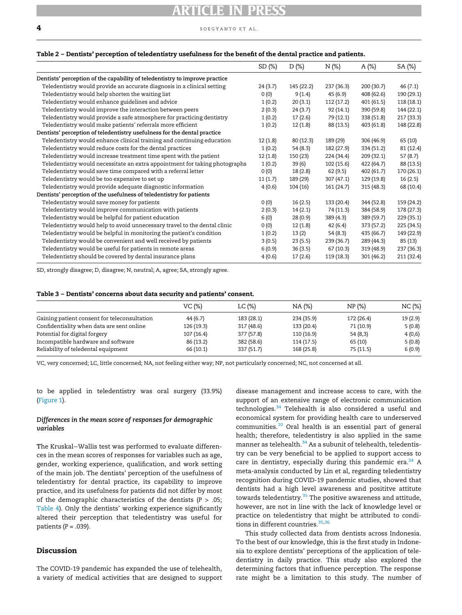$\overline{\mathbf{4}}$  soegyanto et al.

### <span id="page-3-0"></span>Table 2 – Dentists' perception of teledentistry usefulness for the benefit of the dental practice and patients.

|                                                                             | SD(%)   | D (%)      | N (%)      | A(%)       | SA (%)     |
|-----------------------------------------------------------------------------|---------|------------|------------|------------|------------|
| Dentists' perception of the capability of teledentistry to improve practice |         |            |            |            |            |
| Teledentistry would provide an accurate diagnosis in a clinical setting     | 24(3.7) | 145 (22.2) | 237 (36.3) | 200 (30.7) | 46 (7.1)   |
| Teledentistry would help shorten the waiting list                           | 0(0)    | 9(1.4)     | 45(6.9)    | 408 (62.6) | 190 (29.1) |
| Teledentistry would enhance guidelines and advice                           | 1(0.2)  | 20(3.1)    | 112 (17.2) | 401(61.5)  | 118 (18.1) |
| Teledentistry would improve the interaction between peers                   | 2(0.3)  | 24(3.7)    | 92 (14.1)  | 390 (59.8) | 144 (22.1) |
| Teledentistry would provide a safe atmosphere for practicing dentistry      | 1(0.2)  | 17(2.6)    | 79 (12.1)  | 338 (51.8) | 217 (33.3) |
| Teledentistry would make patients' referrals more efficient                 | 1(0.2)  | 12 (1.8)   | 88 (13.5)  | 403 (61.8) | 148 (22.8) |
| Dentists' perception of teledentistry usefulness for the dental practice    |         |            |            |            |            |
| Teledentistry would enhance clinical training and continuing education      | 12(1.8) | 80(12.3)   | 189 (29)   | 306 (46.9) | 65 (10)    |
| Teledentistry would reduce costs for the dental practices                   | 1(0.2)  | 54 (8.3)   | 182 (27.9) | 334 (51.2) | 81 (12.4)  |
| Teledentistry would increase treatment time spent with the patient          | 12(1.8) | 150 (23)   | 224 (34.4) | 209 (32.1) | 57 (8.7)   |
| Teledentistry would necessitate an extra appointment for taking photographs | 1(0.2)  | 39(6)      | 102 (15.6) | 422 (64.7) | 88 (13.5)  |
| Teledentistry would save time compared with a referral letter               | 0(0)    | 18(2.8)    | 62 (9.5)   | 402 (61.7) | 170 (26.1) |
| Teledentistry would be too expensive to set up                              | 11(1.7) | 189 (29)   | 307(47.1)  | 129 (19.8) | 16(2.5)    |
| Teledentistry would provide adequate diagnostic information                 | 4(0.6)  | 104(16)    | 161 (24.7) | 315(48.3)  | 68 (10.4)  |
| Dentists' perception of the usefulness of teledentistry for patients        |         |            |            |            |            |
| Teledentistry would save money for patients                                 | 0(0)    | 16(2.5)    | 133 (20.4) | 344 (52.8) | 159 (24.2) |
| Teledentistry would improve communication with patients                     | 2(0.3)  | 14(2.1)    | 74 (11.3)  | 384 (58.9) | 178 (27.3) |
| Teledentistry would be helpful for patient education                        | 6 (0)   | 28(0.9)    | 389 (4.3)  | 389 (59.7) | 229 (35.1) |
| Teledentistry would help to avoid unnecessary travel to the dental clinic   | 0(0)    | 12(1.8)    | 42(6.4)    | 373 (57.2) | 225 (34.5) |
| Teledentistry would be helpful in monitoring the patient's condition        | 1(0.2)  | 13(2)      | 54 (8.3)   | 435 (66.7) | 149 (22.9) |
| Teledentistry would be convenient and well received by patients             | 3(0.5)  | 23(5.5)    | 239 (36.7) | 289 (44.3) | 85 (13)    |
| Teledentistry would be useful for patients in remote areas                  | 6(0.9)  | 36(3.5)    | 67(10.3)   | 319 (48.9) | 237 (36.3) |
| Teledentistry should be covered by dental insurance plans                   | 4(0.6)  | 17(2.6)    | 119 (18.3) | 301 (46.2) | 211 (32.4) |

SD, strongly disagree; D, disagree; N, neutral; A, agree; SA, strongly agree.

### <span id="page-3-1"></span>Table 3 – Dentists' concerns about data security and patients' consent.

|                                              | VC (%)    | $LC (\%)$  | $NA$ (%)   | NP(%)      | NC(%)   |
|----------------------------------------------|-----------|------------|------------|------------|---------|
| Gaining patient consent for teleconsultation | 44 (6.7)  | 183 (28.1) | 234 (35.9) | 172 (26.4) | 19(2.9) |
| Confidentiality when data are sent online    | 126(19.3) | 317 (48.6) | 133 (20.4) | 71 (10.9)  | 5(0.8)  |
| Potential for digital forgery                | 107(16.4) | 377 (57.8) | 110 (16.9) | 54 (8,3)   | 4 (0,6) |
| Incompatible hardware and software           | 86 (13.2) | 382 (58.6) | 114(17.5)  | 65 (10)    | 5(0.8)  |
| Reliability of teledental equipment          | 66(10.1)  | 337 (51.7) | 168 (25.8) | 75 (11.5)  | 6(0.9)  |

VC, very concerned; LC, little concerned; NA, not feeling either way; NP, not particularly concerned; NC, not concerned at all.

## to be applied in teledentistry was oral surgery (33.9%) ([Figure 1](#page-4-0)).

## Differences in the mean score of responses for demographic variables

The Kruskal−Wallis test was performed to evaluate differences in the mean scores of responses for variables such as age, gender, working experience, qualification, and work setting of the main job. The dentists' perception of the usefulness of teledentistry for dental practice, its capability to improve practice, and its usefulness for patients did not differ by most of the demographic characteristics of the dentists ( $P > .05$ ; [Table 4](#page-4-1)). Only the dentists' working experience significantly altered their perception that teledentistry was useful for patients  $(P = .039)$ .

# Discussion

The COVID-19 pandemic has expanded the use of telehealth, a variety of medical activities that are designed to support disease management and increase access to care, with the support of an extensive range of electronic communication technologies.<sup>[34](#page-6-25)</sup> Telehealth is also considered a useful and economical system for providing health care to underserved communities.[10](#page-6-6) Oral health is an essential part of general health; therefore, teledentistry is also applied in the same manner as telehealth.<sup>[34](#page-6-25)</sup> As a subunit of telehealth, teledentistry can be very beneficial to be applied to support access to care in dentistry, especially during this pandemic era.<sup>[24](#page-6-14)</sup> A meta-analysis conducted by Lin et al, regarding teledentistry recognition during COVID-19 pandemic studies, showed that dentists had a high level awareness and posititve attitute towards teledentistry.<sup>[35](#page-6-26)</sup> The positive awareness and attitude, however, are not in line with the lack of knowledge level or practice on teledentistry that might be attributed to condi-tions in different countries.<sup>[35](#page-6-26),[36](#page-6-27)</sup>

This study collected data from dentists across Indonesia. To the best of our knowledge, this is the first study in Indonesia to explore dentists' perceptions of the application of teledentistry in daily practice. This study also explored the determining factors that influence perception. The response rate might be a limitation to this study. The number of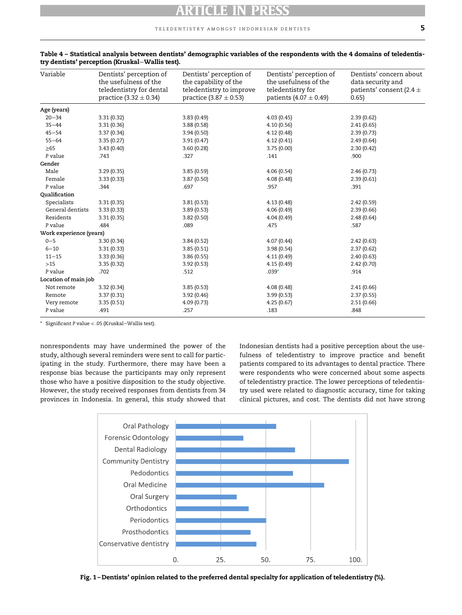### teledentistry amongst indonesian dentists 5

| Variable                | Dentists' perception of<br>the usefulness of the<br>teledentistry for dental<br>practice $(3.32 \pm 0.34)$ | Dentists' perception of<br>the capability of the<br>teledentistry to improve<br>practice $(3.87 \pm 0.53)$ | Dentists' perception of<br>the usefulness of the<br>teledentistry for<br>patients $(4.07 \pm 0.49)$ | Dentists' concern about<br>data security and<br>patients' consent (2.4 $\pm$<br>0.65) |
|-------------------------|------------------------------------------------------------------------------------------------------------|------------------------------------------------------------------------------------------------------------|-----------------------------------------------------------------------------------------------------|---------------------------------------------------------------------------------------|
| Age (years)             |                                                                                                            |                                                                                                            |                                                                                                     |                                                                                       |
| $20 - 34$               | 3.31(0.32)                                                                                                 | 3.83(0.49)                                                                                                 | 4.03(0.45)                                                                                          | 2.39(0.62)                                                                            |
| $35 - 44$               | 3.31(0.36)                                                                                                 | 3.88(0.58)                                                                                                 | 4.10(0.56)                                                                                          | 2.41(0.65)                                                                            |
| $45 - 54$               | 3.37(0.34)                                                                                                 | 3.94(0.50)                                                                                                 | 4.12(0.48)                                                                                          | 2.39(0.73)                                                                            |
| $55 - 64$               | 3.35(0.27)                                                                                                 | 3.91(0.47)                                                                                                 | 4.12(0.41)                                                                                          | 2.49(0.64)                                                                            |
| $\geq 65$               | 3.43(0.40)                                                                                                 | 3.60(0.28)                                                                                                 | 3.75(0.00)                                                                                          | 2.30(0.42)                                                                            |
| P value                 | .743                                                                                                       | .327                                                                                                       | .141                                                                                                | .900                                                                                  |
| Gender                  |                                                                                                            |                                                                                                            |                                                                                                     |                                                                                       |
| Male                    | 3.29(0.35)                                                                                                 | 3.85(0.59)                                                                                                 | 4.06(0.54)                                                                                          | 2.46(0.73)                                                                            |
| Female                  | 3.33(0.33)                                                                                                 | 3.87(0.50)                                                                                                 | 4.08(0.48)                                                                                          | 2.39(0.61)                                                                            |
| P value                 | .344                                                                                                       | .697                                                                                                       | .957                                                                                                | .391                                                                                  |
| Qualification           |                                                                                                            |                                                                                                            |                                                                                                     |                                                                                       |
| Specialists             | 3.31(0.35)                                                                                                 | 3.81(0.53)                                                                                                 | 4.13(0.48)                                                                                          | 2.42(0.59)                                                                            |
| General dentists        | 3.33(0.33)                                                                                                 | 3.89(0.53)                                                                                                 | 4.06(0.49)                                                                                          | 2.39(0.66)                                                                            |
| Residents               | 3.31(0.35)                                                                                                 | 3.82(0.50)                                                                                                 | 4.04(0.49)                                                                                          | 2.48(0.64)                                                                            |
| P value                 | .484                                                                                                       | .089                                                                                                       | .475                                                                                                | .587                                                                                  |
| Work experience (years) |                                                                                                            |                                                                                                            |                                                                                                     |                                                                                       |
| $0 - 5$                 | 3.30(0.34)                                                                                                 | 3.84(0.52)                                                                                                 | 4.07(0.44)                                                                                          | 2.42(0.63)                                                                            |
| $6 - 10$                | 3.31(0.33)                                                                                                 | 3.85(0.51)                                                                                                 | 3.98(0.54)                                                                                          | 2.37(0.62)                                                                            |
| $11 - 15$               | 3.33(0.36)                                                                                                 | 3.86 (0.55)                                                                                                | 4.11(0.49)                                                                                          | 2.40(0.63)                                                                            |
| $>15$                   | 3.35(0.32)                                                                                                 | 3.92(0.53)                                                                                                 | 4.15(0.49)                                                                                          | 2.42(0.70)                                                                            |
| P value                 | .702                                                                                                       | .512                                                                                                       | $.039*$                                                                                             | .914                                                                                  |
| Location of main job    |                                                                                                            |                                                                                                            |                                                                                                     |                                                                                       |
| Not remote              | 3.32(0.34)                                                                                                 | 3.85(0.53)                                                                                                 | 4.08(0.48)                                                                                          | 2.41(0.66)                                                                            |
| Remote                  | 3.37(0.31)                                                                                                 | 3.92(0.46)                                                                                                 | 3.99(0.53)                                                                                          | 2.37(0.55)                                                                            |
| Very remote             | 3.35(0.51)                                                                                                 | 4.09(0.73)                                                                                                 | 4.25(0.67)                                                                                          | 2.51(0.66)                                                                            |
| P value                 | .491                                                                                                       | .257                                                                                                       | .183                                                                                                | .848                                                                                  |

<span id="page-4-1"></span>

|  |                                                 |  | Table 4 – Statistical analysis between dentists' demographic variables of the respondents with the 4 domains of teledentis- |  |
|--|-------------------------------------------------|--|-----------------------------------------------------------------------------------------------------------------------------|--|
|  | try dentists' perception (Kruskal–Wallis test). |  |                                                                                                                             |  |

<span id="page-4-2"></span>\* Significant P value < .05 (Kruskal−Wallis test).

<span id="page-4-0"></span>nonrespondents may have undermined the power of the study, although several reminders were sent to call for participating in the study. Furthermore, there may have been a response bias because the participants may only represent those who have a positive disposition to the study objective. However, the study received responses from dentists from 34 provinces in Indonesia. In general, this study showed that

Indonesian dentists had a positive perception about the usefulness of teledentistry to improve practice and benefit patients compared to its advantages to dental practice. There were respondents who were concerned about some aspects of teledentistry practice. The lower perceptions of teledentistry used were related to diagnostic accuracy, time for taking clinical pictures, and cost. The dentists did not have strong



Fig. 1 – Dentists' opinion related to the preferred dental specialty for application of teledentistry (%).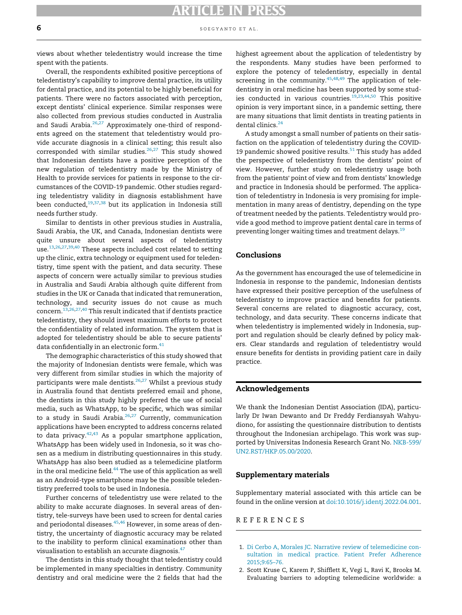views about whether teledentistry would increase the time spent with the patients.

Overall, the respondents exhibited positive perceptions of teledentistry's capability to improve dental practice, its utility for dental practice, and its potential to be highly beneficial for patients. There were no factors associated with perception, except dentists' clinical experience. Similar responses were also collected from previous studies conducted in Australia and Saudi Arabia. $26,27$  $26,27$  Approximately one-third of respondents agreed on the statement that teledentistry would provide accurate diagnosis in a clinical setting; this result also corresponded with similar studies. $26,27$  $26,27$  This study showed that Indonesian dentists have a positive perception of the new regulation of teledentistry made by the Ministry of Health to provide services for patients in response to the circumstances of the COVID-19 pandemic. Other studies regarding teledentistry validity in diagnosis establishment have been conducted, $19,37,38$  $19,37,38$  $19,37,38$  $19,37,38$  but its application in Indonesia still needs further study.

Similar to dentists in other previous studies in Australia, Saudi Arabia, the UK, and Canada, Indonesian dentists were quite unsure about several aspects of teledentistry use.<sup>13,[26,](#page-6-23)[27](#page-6-24),[39,](#page-7-0)[40](#page-7-1)</sup> These aspects included cost related to setting up the clinic, extra technology or equipment used for teledentistry, time spent with the patient, and data security. These aspects of concern were actually similar to previous studies in Australia and Saudi Arabia although quite different from studies in the UK or Canada that indicated that remuneration, technology, and security issues do not cause as much concern.[13,](#page-6-9)[26,](#page-6-23)[27](#page-6-24),[40](#page-7-1) This result indicated that if dentists practice teledentistry, they should invest maximum efforts to protect the confidentiality of related information. The system that is adopted for teledentistry should be able to secure patients' data confidentially in an electronic form.<sup>41</sup>

The demographic characteristics of this study showed that the majority of Indonesian dentists were female, which was very different from similar studies in which the majority of participants were male dentists. $26,27$  $26,27$  $26,27$  Whilst a previous study in Australia found that dentists preferred email and phone, the dentists in this study highly preferred the use of social media, such as WhatsApp, to be specific, which was similar to a study in Saudi Arabia. $26,27$  $26,27$  Currently, communication applications have been encrypted to address concerns related to data privacy. $42,43$  $42,43$  $42,43$  As a popular smartphone application, WhatsApp has been widely used in Indonesia, so it was chosen as a medium in distributing questionnaires in this study. WhatsApp has also been studied as a telemedicine platform in the oral medicine field.[44](#page-7-5) The use of this application as well as an Android-type smartphone may be the possible teledentistry preferred tools to be used in Indonesia.

<span id="page-5-2"></span>Further concerns of teledentistry use were related to the ability to make accurate diagnoses. In several areas of dentistry, tele-surveys have been used to screen for dental caries and periodontal diseases.<sup>[45](#page-7-6),[46](#page-7-7)</sup> However, in some areas of dentistry, the uncertainty of diagnostic accuracy may be related to the inability to perform clinical examinations other than visualisation to establish an accurate diagnosis.<sup>[47](#page-7-8)</sup>

<span id="page-5-1"></span><span id="page-5-0"></span>The dentists in this study thought that teledentistry could be implemented in many specialties in dentistry. Community dentistry and oral medicine were the 2 fields that had the highest agreement about the application of teledentistry by the respondents. Many studies have been performed to explore the potency of teledentistry, especially in dental screening in the community.<sup>[45,](#page-7-6)[48](#page-7-9),[49](#page-7-10)</sup> The application of teledentistry in oral medicine has been supported by some studies conducted in various countries.[19,](#page-6-28)[23](#page-6-31),[44,](#page-7-5)[50](#page-7-11) This positive opinion is very important since, in a pandemic setting, there are many situations that limit dentists in treating patients in dental clinics.<sup>[24](#page-6-14)</sup>

A study amongst a small number of patients on their satisfaction on the application of teledentistry during the COVID-19 pandemic showed positive results. $51$  This study has added the perspective of teledentistry from the dentists' point of view. However, further study on teledentistry usage both from the patients' point of view and from dentists' knowledge and practice in Indonesia should be performed. The application of teledentistry in Indonesia is very promising for implementation in many areas of dentistry, depending on the type of treatment needed by the patients. Teledentistry would provide a good method to improve patient dental care in terms of preventing longer waiting times and treatment delays.<sup>[19](#page-6-28)</sup>

# Conclusions

As the government has encouraged the use of telemedicine in Indonesia in response to the pandemic, Indonesian dentists have expressed their positive perception of the usefulness of teledentistry to improve practice and benefits for patients. Several concerns are related to diagnostic accuracy, cost, technology, and data security. These concerns indicate that when teledentistry is implemented widely in Indonesia, support and regulation should be clearly defined by policy makers. Clear standards and regulation of teledentistry would ensure benefits for dentists in providing patient care in daily practice.

# Acknowledgements

We thank the Indonesian Dentist Association (IDA), particularly Dr Iwan Dewanto and Dr Freddy Ferdiansyah Wahyudiono, for assisting the questionnaire distribution to dentists throughout the Indonesian archipelago. This work was supported by Universitas Indonesia Research Grant No. [NKB-599/](#page-5-2) [UN2.RST/HKP.05.00/2020.](#page-5-2)

### Supplementary materials

Supplementary material associated with this article can be found in the online version at [doi:10.1016/j.identj.2022.04.001.](https://doi.org/10.1016/j.identj.2022.04.001)

## REFERENCES

- 1. [Di Cerbo A, Morales JC. Narrative review of telemedicine con](http://refhub.elsevier.com/S0020-6539(22)00071-5/sbref0001)[sultation in medical practice. Patient Prefer Adherence](http://refhub.elsevier.com/S0020-6539(22)00071-5/sbref0001) [2015;9:65–76.](http://refhub.elsevier.com/S0020-6539(22)00071-5/sbref0001)
- 2. Scott Kruse C, Karem P, Shifflett K, Vegi L, Ravi K, Brooks M. Evaluating barriers to adopting telemedicine worldwide: a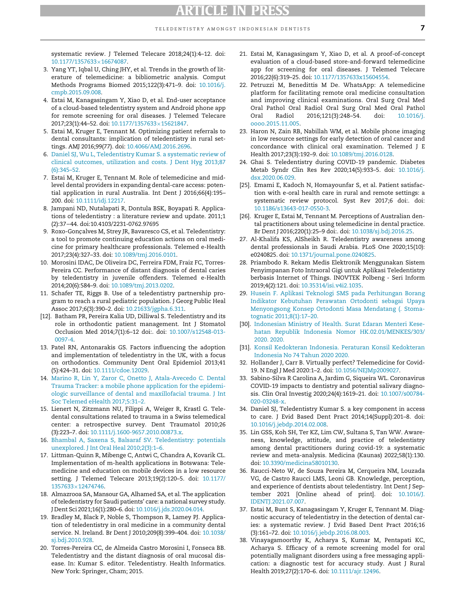systematic review. J Telemed Telecare 2018;24(1):4–12. doi: [10.1177/1357633](https://doi.org/10.1177/1357633×16674087)£[16674087.](https://doi.org/10.1177/1357633×16674087)

- <span id="page-6-0"></span>3. Yang YT, Iqbal U, Ching JHY, et al. Trends in the growth of literature of telemedicine: a bibliometric analysis. Comput Methods Programs Biomed 2015;122(3):471–9. doi: [10.1016/j.](https://doi.org/10.1016/j.cmpb.2015.09.008) [cmpb.2015.09.008.](https://doi.org/10.1016/j.cmpb.2015.09.008)
- <span id="page-6-1"></span>4. Estai M, Kanagasingam Y, Xiao D, et al. End-user acceptance of a cloud-based teledentistry system and Android phone app for remote screening for oral diseases. J Telemed Telecare 2017;23(1):44-52. doi: [10.1177/1357633](https://doi.org/10.1177/1357633×15621847)×[15621847.](https://doi.org/10.1177/1357633×15621847)
- <span id="page-6-31"></span>5. Estai M, Kruger E, Tennant M. Optimizing patient referrals to dental consultants: implication of teledentistry in rural settings. AMJ 2016;99(77). doi: [10.4066/AMJ.2016.2696.](https://doi.org/10.4066/AMJ.2016.2696)
- <span id="page-6-14"></span><span id="page-6-2"></span>6. [Daniel SJ, Wu L, Teledentistry Kumar S. a systematic review of](http://refhub.elsevier.com/S0020-6539(22)00071-5/sbref0006) [clinical outcomes, utilization and costs. J Dent Hyg 2013;87](http://refhub.elsevier.com/S0020-6539(22)00071-5/sbref0006) [\(6\):345–52.](http://refhub.elsevier.com/S0020-6539(22)00071-5/sbref0006)
- <span id="page-6-16"></span><span id="page-6-3"></span>7. Estai M, Kruger E, Tennant M. Role of telemedicine and midlevel dental providers in expanding dental-care access: potential application in rural Australia. Int Dent J 2016;66(4):195– 200. doi: [10.1111/idj.12217.](https://doi.org/10.1111/idj.12217)
- <span id="page-6-23"></span><span id="page-6-4"></span>8. Jampani ND, Nutalapati R, Dontula BSK, Boyapati R. Applications of teledentistry : a literature review and update. 2011;1 (2):37−44. doi:10.4103/2231-0762.97695
- <span id="page-6-24"></span><span id="page-6-5"></span>9. Roxo-Gonçalves M, Strey JR, Bavaresco CS, et al. Teledentistry: a tool to promote continuing education actions on oral medicine for primary healthcare professionals. Telemed e-Health 2017;23(4):327–33. doi: [10.1089/tmj.2016.0101.](https://doi.org/10.1089/tmj.2016.0101)
- <span id="page-6-17"></span><span id="page-6-6"></span>10. Morosini IDAC, De Oliveira DC, Ferreira FDM, Fraiz FC, Torres-Pereira CC. Performance of distant diagnosis of dental caries by teledentistry in juvenile offenders. Telemed e-Health 2014;20(6):584–9. doi: [10.1089/tmj.2013.0202.](https://doi.org/10.1089/tmj.2013.0202)
- <span id="page-6-18"></span><span id="page-6-7"></span>11. Schafer TE, Riggs B. Use of a teledentistry partnership program to reach a rural pediatric population. J Georg Public Heal Assoc 2017;6(3):390–2. doi: [10.21633/jgpha.6.311.](https://doi.org/10.21633/jgpha.6.311)
- <span id="page-6-19"></span><span id="page-6-8"></span>[12]. Batham PR, Pereira Kalia UD, Dilliwal S. Teledentistry and its role in orthodontic patient management. Int J Stomatol Occlusion Med 2014;7(1):6–12 doi:. doi: [10.1007/s12548-013-](https://doi.org/10.1007/s12548-013-0097-4) [0097-4.](https://doi.org/10.1007/s12548-013-0097-4)
- <span id="page-6-21"></span><span id="page-6-20"></span><span id="page-6-9"></span>13. Patel RN, Antonarakis GS. Factors influencing the adoption and implementation of teledentistry in the UK, with a focus on orthodontics. Community Dent Oral Epidemiol 2013;41 (5):424–31. doi: [10.1111/cdoe.12029.](https://doi.org/10.1111/cdoe.12029)
- <span id="page-6-22"></span><span id="page-6-10"></span>14. [Marino R, Lin Y, Zaror C, Onetto J, Atala-Avecedo C. Dental](http://refhub.elsevier.com/S0020-6539(22)00071-5/sbref0014) [Trauma Tracker: a mobile phone application for the epidemi](http://refhub.elsevier.com/S0020-6539(22)00071-5/sbref0014)[ologic surveillance of dental and maxillofacial trauma. J Int](http://refhub.elsevier.com/S0020-6539(22)00071-5/sbref0014) [Soc Telemed eHealth 2017;5:31–2.](http://refhub.elsevier.com/S0020-6539(22)00071-5/sbref0014)
- <span id="page-6-25"></span><span id="page-6-11"></span>15. Lienert N, Zitzmann NU, Filippi A, Weiger R, Krastl G. Teledental consultations related to trauma in a Swiss telemedical center: a retrospective survey. Dent Traumatol 2010;26 (3):223–7. doi: [10.1111/j.1600-9657.2010.00873.x.](https://doi.org/10.1111/j.1600-9657.2010.00873.x)
- <span id="page-6-26"></span><span id="page-6-12"></span>16. [Bhambal A, Saxena S, Balsaraf SV. Teledentistry: potentials](http://refhub.elsevier.com/S0020-6539(22)00071-5/sbref0016) [unexplored. J Int Oral Heal 2010;2\(3\):1–6.](http://refhub.elsevier.com/S0020-6539(22)00071-5/sbref0016)
- <span id="page-6-27"></span><span id="page-6-13"></span>17. Littman-Quinn R, Mibenge C, Antwi C, Chandra A, Kovarik CL. Implementation of m-health applications in Botswana: Telemedicine and education on mobile devices in a low resource setting. J Telemed Telecare 2013;19(2):120–5. doi: [10.1177/](https://doi.org/10.1177/1357633×12474746) [1357633](https://doi.org/10.1177/1357633×12474746)£[12474746.](https://doi.org/10.1177/1357633×12474746)
- <span id="page-6-15"></span>18. Almazrooa SA, Mansour GA, Alhamed SA, et al. The application of teledentistry for Saudi patients' care: a national survey study. J Dent Sci 2021;16(1):280–6. doi: [10.1016/j.jds.2020.04.014.](https://doi.org/10.1016/j.jds.2020.04.014)
- <span id="page-6-29"></span><span id="page-6-28"></span>19. Bradley M, Black P, Noble S, Thompson R, Lamey PJ. Application of teledentistry in oral medicine in a community dental service. N. Ireland. Br Dent J 2010;209(8):399–404. doi: [10.1038/](https://doi.org/10.1038/sj.bdj.2010.928) [sj.bdj.2010.928.](https://doi.org/10.1038/sj.bdj.2010.928)
- <span id="page-6-30"></span>20. Torres-Pereira CC, de Almeida Castro Morosini I, Fonseca BB. Teledentistry and the distant diagnosis of oral mucosal disease. In: Kumar S. editor. Teledentistry. Health Informatics. New York: Springer, Cham; 2015.
- 21. Estai M, Kanagasingam Y, Xiao D, et al. A proof-of-concept evaluation of a cloud-based store-and-forward telemedicine app for screening for oral diseases. J Telemed Telecare 2016;22(6):319–25. doi: [10.1177/1357633x15604554.](https://doi.org/10.1177/1357633x15604554)
- 22. Petruzzi M, Benedittis M De. WhatsApp: A telemedicine platform for facilitating remote oral medicine consultation and improving clinical examinations. Oral Surg Oral Med Oral Pathol Oral Radiol Oral Surg Oral Med Oral Pathol Oral Radiol 2016;121(3):248–54. doi: [10.1016/j.](https://doi.org/10.1016/j.oooo.2015.11.005) [oooo.2015.11.005.](https://doi.org/10.1016/j.oooo.2015.11.005)
- 23. Haron N, Zain RB, Nabillah WM, et al. Mobile phone imaging in low resource settings for early detection of oral cancer and concordance with clinical oral examination. Telemed J E Health 2017;23(3):192–9. doi: [10.1089/tmj.2016.0128.](https://doi.org/10.1089/tmj.2016.0128)
- 24. Ghai S. Teledentistry during COVID-19 pandemic. Diabetes Metab Syndr Clin Res Rev 2020;14(5):933–5. doi: [10.1016/j.](https://doi.org/10.1016/j.dsx.2020.06.029) [dsx.2020.06.029.](https://doi.org/10.1016/j.dsx.2020.06.029)
- [25]. Emami E, Kadoch N, Homayounfar S, et al. Patient satisfaction with e-oral health care in rural and remote settings: a systematic review protocol. Syst Rev 2017;6 doi:. doi: [10.1186/s13643-017-0550-3.](https://doi.org/10.1186/s13643-017-0550-3)
- [26]. Kruger E, Estai M, Tennant M. Perceptions of Australian dental practitioners about using telemedicine in dental practice. Br Dent J 2016;220(1):25–9 doi:. doi: [10.1038/sj.bdj.2016.25.](https://doi.org/10.1038/sj.bdj.2016.25)
- 27. Al-Khalifa KS, AlSheikh R. Teledentistry awareness among dental professionals in Saudi Arabia. PLoS One 2020;15(10): e0240825. doi: [10.1371/journal.pone.0240825.](https://doi.org/10.1371/journal.pone.0240825)
- 28. Priambodo R. Rekam Medis Elektronik Menggunakan Sistem Penyimpanan Foto Intraoral Gigi untuk Aplikasi Teledentistry berbasis Internet of Things. INOVTEK Polbeng - Seri Inform 2019;4(2):121. doi: [10.35314/isi.v4i2.1035.](https://doi.org/10.35314/isi.v4i2.1035)
- 29. [Husein F. Aplikasi Teknologi SMS pada Perhitungan Borang](http://refhub.elsevier.com/S0020-6539(22)00071-5/sbref0029) [Indikator Kebutuhan Perawatan Ortodonti sebagai Upaya](http://refhub.elsevier.com/S0020-6539(22)00071-5/sbref0029) [Menyongsong Konsep Ortodonti Masa Mendatang \(. Stoma](http://refhub.elsevier.com/S0020-6539(22)00071-5/sbref0029)[tognatic 2011;8\(1\):17–20.](http://refhub.elsevier.com/S0020-6539(22)00071-5/sbref0029)
- [30]. [Indonesian Ministry of Health. Surat Edaran Menteri Kese](http://refhub.elsevier.com/S0020-6539(22)00071-5/sbref0030)[hatan Republik Indonesia Nomor HK.02.01/MENKES/303/](http://refhub.elsevier.com/S0020-6539(22)00071-5/sbref0030) [2020. 2020.](http://refhub.elsevier.com/S0020-6539(22)00071-5/sbref0030)
- [31]. [Konsil Kedokteran Indonesia. Peraturan Konsil Kedokteran](http://refhub.elsevier.com/S0020-6539(22)00071-5/sbref0031) [Indonesia No 74 Tahun 2020 2020.](http://refhub.elsevier.com/S0020-6539(22)00071-5/sbref0031)
- 32. Hollander J, Carr B. Virtually perfect? Telemedicine for Covid-19. N Engl J Med 2020:1–2. doi: [10.1056/NEJMp2009027.](https://doi.org/10.1056/NEJMp2009027)
- 33. Sabino-Silva R Carolina A, Jardim G, Siqueira WL. Coronavirus COVID-19 impacts to dentistry and potential salivary diagnosis. Clin Oral Investig 2020;24(4):1619–21. doi: [10.1007/s00784-](https://doi.org/10.1007/s00784-020-03248-x) [020-03248-x.](https://doi.org/10.1007/s00784-020-03248-x)
- 34. Daniel SJ, Teledentistry Kumar S. a key component in access to care. J Evid Based Dent Pract 2014;14(Suppl):201–8. doi: [10.1016/j.jebdp.2014.02.008.](https://doi.org/10.1016/j.jebdp.2014.02.008)
- 35. Lin GSS, Koh SH, Ter KZ, Lim CW, Sultana S, Tan WW. Awareness, knowledge, attitude, and practice of teledentistry among dental practitioners during covid-19: a systematic review and meta-analysis. Medicina (Kaunas) 2022;58(1):130. doi: [10.3390/medicina58010130.](https://doi.org/10.3390/medicina58010130)
- 36. Raucci-Neto W, de Souza Pereira M, Cerqueira NM, Louzada VG, de Castro Raucci LMS, Leoni GB. Knowledge, perception, and experience of dentists about teledentistry. Int Dent J September 2021 [Online ahead of print]. doi: [10.1016/J.](https://doi.org/10.1016/J.IDENTJ.2021.07.007) [IDENTJ.2021.07.007.](https://doi.org/10.1016/J.IDENTJ.2021.07.007)
- 37. Estai M, Bunt S, Kanagasingam Y, Kruger E, Tennant M. Diagnostic accuracy of teledentistry in the detection of dental caries: a systematic review. J Evid Based Dent Pract 2016;16 (3):161–72. doi: [10.1016/j.jebdp.2016.08.003.](https://doi.org/10.1016/j.jebdp.2016.08.003)
- 38. Vinayagamoorthy K, Acharya S, Kumar M, Pentapati KC, Acharya S. Efficacy of a remote screening model for oral potentially malignant disorders using a free messaging application: a diagnostic test for accuracy study. Aust J Rural Health 2019;27(2):170–6. doi: [10.1111/ajr.12496.](https://doi.org/10.1111/ajr.12496)